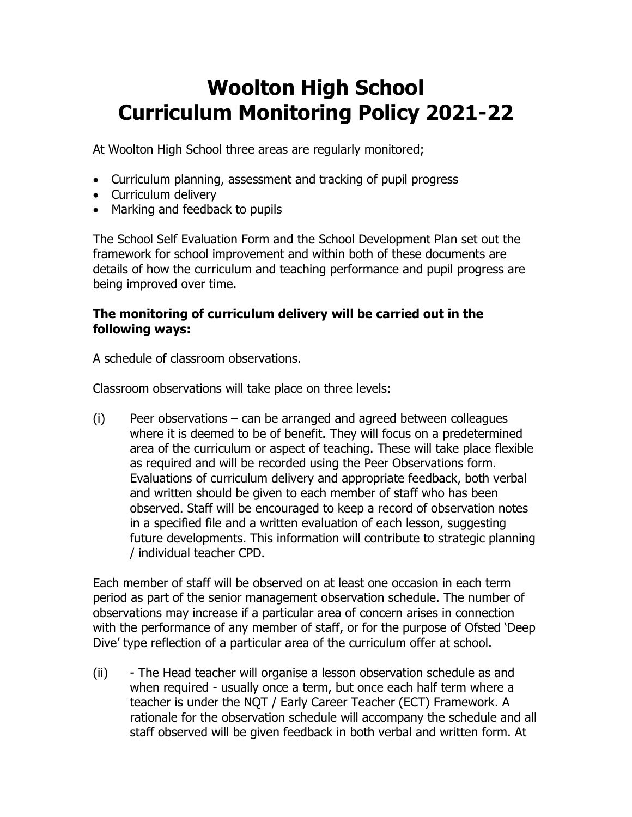# **Woolton High School Curriculum Monitoring Policy 2021-22**

At Woolton High School three areas are regularly monitored;

- Curriculum planning, assessment and tracking of pupil progress
- Curriculum delivery
- Marking and feedback to pupils

The School Self Evaluation Form and the School Development Plan set out the framework for school improvement and within both of these documents are details of how the curriculum and teaching performance and pupil progress are being improved over time.

### **The monitoring of curriculum delivery will be carried out in the following ways:**

A schedule of classroom observations.

Classroom observations will take place on three levels:

(i) Peer observations – can be arranged and agreed between colleagues where it is deemed to be of benefit. They will focus on a predetermined area of the curriculum or aspect of teaching. These will take place flexible as required and will be recorded using the Peer Observations form. Evaluations of curriculum delivery and appropriate feedback, both verbal and written should be given to each member of staff who has been observed. Staff will be encouraged to keep a record of observation notes in a specified file and a written evaluation of each lesson, suggesting future developments. This information will contribute to strategic planning / individual teacher CPD.

Each member of staff will be observed on at least one occasion in each term period as part of the senior management observation schedule. The number of observations may increase if a particular area of concern arises in connection with the performance of any member of staff, or for the purpose of Ofsted 'Deep Dive' type reflection of a particular area of the curriculum offer at school.

(ii) - The Head teacher will organise a lesson observation schedule as and when required - usually once a term, but once each half term where a teacher is under the NQT / Early Career Teacher (ECT) Framework. A rationale for the observation schedule will accompany the schedule and all staff observed will be given feedback in both verbal and written form. At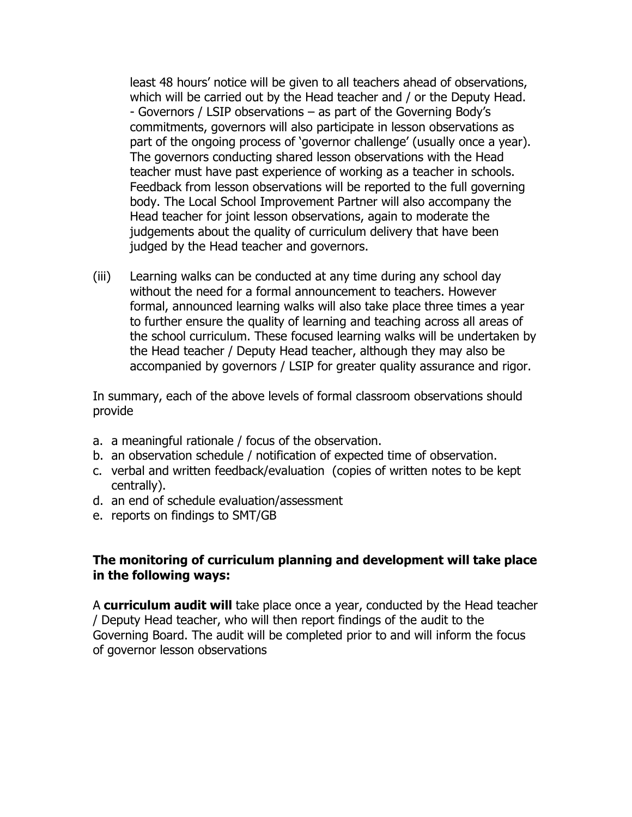least 48 hours' notice will be given to all teachers ahead of observations, which will be carried out by the Head teacher and / or the Deputy Head. - Governors / LSIP observations – as part of the Governing Body's commitments, governors will also participate in lesson observations as part of the ongoing process of 'governor challenge' (usually once a year). The governors conducting shared lesson observations with the Head teacher must have past experience of working as a teacher in schools. Feedback from lesson observations will be reported to the full governing body. The Local School Improvement Partner will also accompany the Head teacher for joint lesson observations, again to moderate the judgements about the quality of curriculum delivery that have been judged by the Head teacher and governors.

(iii) Learning walks can be conducted at any time during any school day without the need for a formal announcement to teachers. However formal, announced learning walks will also take place three times a year to further ensure the quality of learning and teaching across all areas of the school curriculum. These focused learning walks will be undertaken by the Head teacher / Deputy Head teacher, although they may also be accompanied by governors / LSIP for greater quality assurance and rigor.

In summary, each of the above levels of formal classroom observations should provide

- a. a meaningful rationale / focus of the observation.
- b. an observation schedule / notification of expected time of observation.
- c. verbal and written feedback/evaluation (copies of written notes to be kept centrally).
- d. an end of schedule evaluation/assessment
- e. reports on findings to SMT/GB

#### **The monitoring of curriculum planning and development will take place in the following ways:**

A **curriculum audit will** take place once a year, conducted by the Head teacher / Deputy Head teacher, who will then report findings of the audit to the Governing Board. The audit will be completed prior to and will inform the focus of governor lesson observations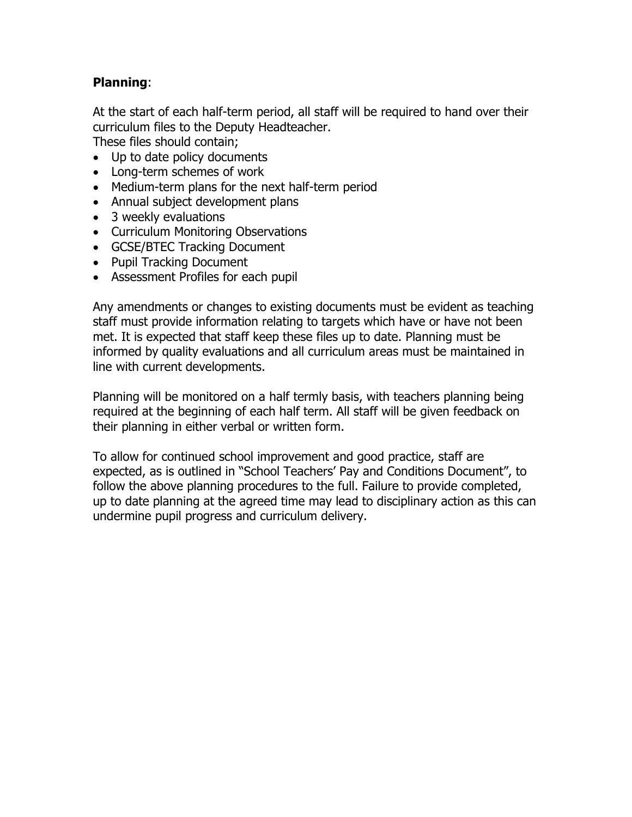## **Planning**:

At the start of each half-term period, all staff will be required to hand over their curriculum files to the Deputy Headteacher.

These files should contain;

- Up to date policy documents
- Long-term schemes of work
- Medium-term plans for the next half-term period
- Annual subject development plans
- 3 weekly evaluations
- Curriculum Monitoring Observations
- GCSE/BTEC Tracking Document
- Pupil Tracking Document
- Assessment Profiles for each pupil

Any amendments or changes to existing documents must be evident as teaching staff must provide information relating to targets which have or have not been met. It is expected that staff keep these files up to date. Planning must be informed by quality evaluations and all curriculum areas must be maintained in line with current developments.

Planning will be monitored on a half termly basis, with teachers planning being required at the beginning of each half term. All staff will be given feedback on their planning in either verbal or written form.

To allow for continued school improvement and good practice, staff are expected, as is outlined in "School Teachers' Pay and Conditions Document", to follow the above planning procedures to the full. Failure to provide completed, up to date planning at the agreed time may lead to disciplinary action as this can undermine pupil progress and curriculum delivery.